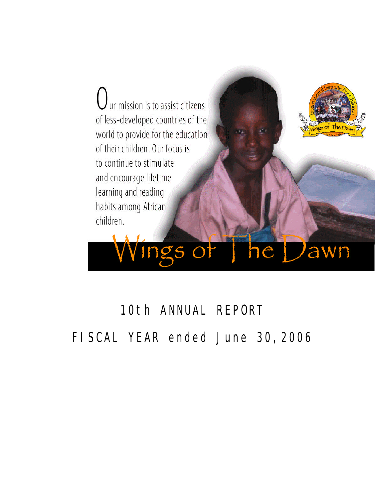ur mission is to assist citizens of less-developed countries of the world to provide for the education of their children. Our focus is to continue to stimulate and encourage lifetime learning and reading habits among African children.

ings of the Dawn

# 10th ANNUAL REPORT FISCAL YEAR ended June 30,2006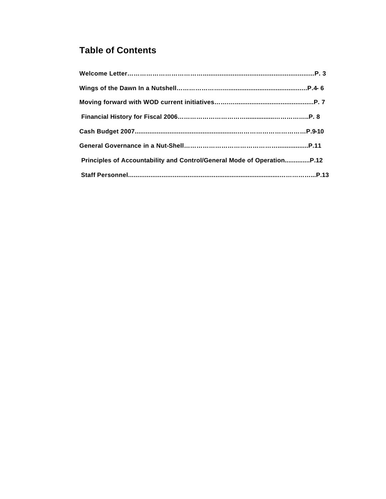## **Table of Contents**

| Principles of Accountability and Control/General Mode of OperationP.12 |  |
|------------------------------------------------------------------------|--|
|                                                                        |  |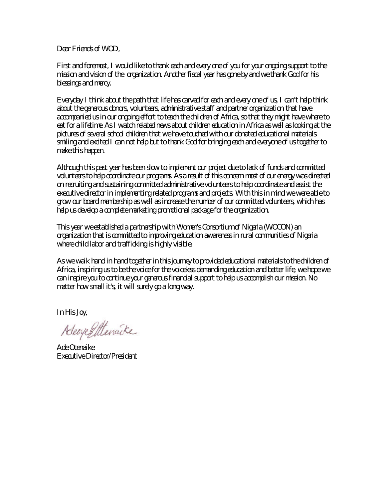*Dear Friends of WOD,*

*First and foremost, I would like to thank each and every one of you for your ongoing support to the mission and vision of the organization. Another fiscal year has gone by and we thank God for his blessings and mercy.*

*Everyday I think about the path that life has carved for each and every one of us, I can't help think about the generous donors, volunteers, administrative staff and partner organization that have accompanied us in our ongoing effort to teach the children of Africa, so that they might have where to*  eat for a lifetime. As I watch related news about children education in Africa as well as looking at the *pictures of several school children that we have touched with our donated educational materials smiling and excited I can not help but to thank God for bringing each and everyone of us together to make this happen.*

*Although this past year has been slow to implement our project due to lack of funds and committed volunteers to help coordinate our programs. As a result of this concern most of our energy was directed on recruiting and sustaining committed administrative volunteers to help coordinate and assist the executive director in implementing related programs and projects. With this in mind we were able to grow our board membership as well as increase the number of our committed volunteers, which has help us develop a complete marketing promotional package for the organization.* 

*This year we established a partnership with Women's Consortium of Nigeria (WOCON) an organization that is committed to improving education awareness in rural communities of Nigeria where child labor and trafficking is highly visible.*

*As we walk hand in hand together in this journey to provided educational materials to the children of Africa, inspiring us to be the voice for the voiceless demanding education and better life, we hope we can inspire you to continue your generous financial support to help us accomplish our mission. No matter how small it's, it will surely go a long way.*

*In His Joy,*

Adeoye Stenaike

*Ade Otenaike Executive Director/President*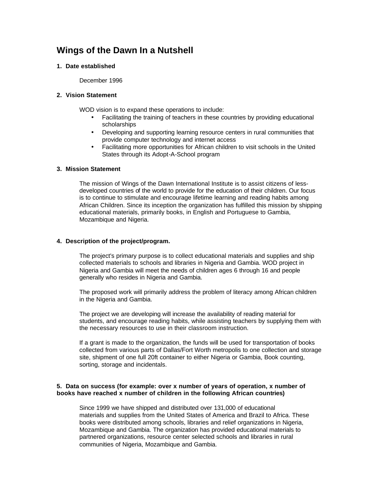## **Wings of the Dawn In a Nutshell**

#### **1. Date established**

December 1996

#### **2. Vision Statement**

WOD vision is to expand these operations to include:

- Facilitating the training of teachers in these countries by providing educational scholarships
- Developing and supporting learning resource centers in rural communities that provide computer technology and internet access
- Facilitating more opportunities for African children to visit schools in the United States through its Adopt-A-School program

#### **3. Mission Statement**

The mission of Wings of the Dawn International Institute is to assist citizens of lessdeveloped countries of the world to provide for the education of their children. Our focus is to continue to stimulate and encourage lifetime learning and reading habits among African Children. Since its inception the organization has fulfilled this mission by shipping educational materials, primarily books, in English and Portuguese to Gambia, Mozambique and Nigeria.

#### **4. Description of the project/program.**

The project's primary purpose is to collect educational materials and supplies and ship collected materials to schools and libraries in Nigeria and Gambia. WOD project in Nigeria and Gambia will meet the needs of children ages 6 through 16 and people generally who resides in Nigeria and Gambia.

The proposed work will primarily address the problem of literacy among African children in the Nigeria and Gambia.

The project we are developing will increase the availability of reading material for students, and encourage reading habits, while assisting teachers by supplying them with the necessary resources to use in their classroom instruction.

If a grant is made to the organization, the funds will be used for transportation of books collected from various parts of Dallas/Fort Worth metropolis to one collection and storage site, shipment of one full 20ft container to either Nigeria or Gambia, Book counting, sorting, storage and incidentals.

#### **5. Data on success (for example: over x number of years of operation, x number of books have reached x number of children in the following African countries)**

Since 1999 we have shipped and distributed over 131,000 of educational materials and supplies from the United States of America and Brazil to Africa. These books were distributed among schools, libraries and relief organizations in Nigeria, Mozambique and Gambia. The organization has provided educational materials to partnered organizations, resource center selected schools and libraries in rural communities of Nigeria, Mozambique and Gambia.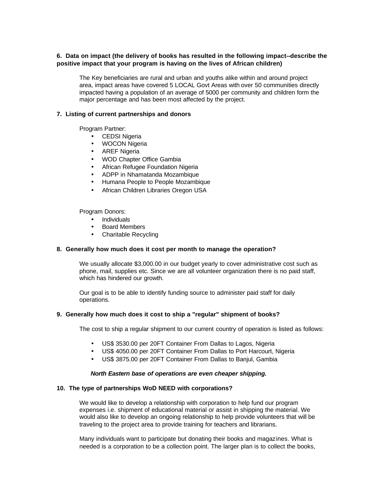#### **6. Data on impact (the delivery of books has resulted in the following impact--describe the positive impact that your program is having on the lives of African children)**

The Key beneficiaries are rural and urban and youths alike within and around project area, impact areas have covered 5 LOCAL Govt Areas with over 50 communities directly impacted having a population of an average of 5000 per community and children form the major percentage and has been most affected by the project.

#### **7. Listing of current partnerships and donors**

Program Partner:

- CEDSI Nigeria
- WOCON Nigeria
- AREF Nigeria
- WOD Chapter Office Gambia
- African Refugee Foundation Nigeria
- ADPP in Nhamatanda Mozambique
- Humana People to People Mozambique
- African Children Libraries Oregon USA

Program Donors:

- Individuals
- Board Members
- Charitable Recycling

#### **8. Generally how much does it cost per month to manage the operation?**

We usually allocate \$3,000.00 in our budget yearly to cover administrative cost such as phone, mail, supplies etc. Since we are all volunteer organization there is no paid staff, which has hindered our growth.

Our goal is to be able to identify funding source to administer paid staff for daily operations.

#### **9. Generally how much does it cost to ship a "regular" shipment of books?**

The cost to ship a regular shipment to our current country of operation is listed as follows:

- US\$ 3530.00 per 20FT Container From Dallas to Lagos, Nigeria
- US\$ 4050.00 per 20FT Container From Dallas to Port Harcourt, Nigeria
- US\$ 3875.00 per 20FT Container From Dallas to Banjul, Gambia

#### *North Eastern base of operations are even cheaper shipping.*

#### **10. The type of partnerships WoD NEED with corporations?**

We would like to develop a relationship with corporation to help fund our program expenses i.e. shipment of educational material or assist in shipping the material. We would also like to develop an ongoing relationship to help provide volunteers that will be traveling to the project area to provide training for teachers and librarians.

Many individuals want to participate but donating their books and magazines. What is needed is a corporation to be a collection point. The larger plan is to collect the books,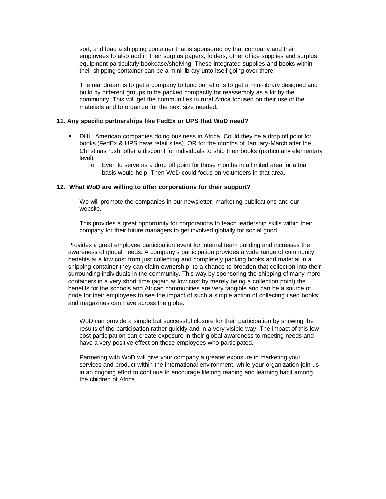sort, and load a shipping container that is sponsored by that company and their employees to also add in their surplus papers, folders, other office supplies and surplus equipment particularly bookcase/shelving. These integrated supplies and books within their shipping container can be a mini-library unto itself going over there.

The real dream is to get a company to fund our efforts to get a mini-library designed and build by different groups to be packed compactly for reassembly as a kit by the community. This will get the communities in rural Africa focused on their use of the materials and to organize for the next size needed**.**

#### **11. Any specific partnerships like FedEx or UPS that WoD need?**

- DHL, American companies doing business in Africa. Could they be a drop off point for books (FedEx & UPS have retail sites). OR for the months of January-March after the Christmas rush, offer a discount for individuals to ship their books (particularly elementary level).
	- o Even to serve as a drop off point for those months in a limited area for a trial basis would help. Then WoD could focus on volunteers in that area.

#### **12. What WoD are willing to offer corporations for their support?**

We will promote the companies in our newsletter, marketing publications and our website.

This provides a great opportunity for corporations to teach leadership skills within their company for their future managers to get involved globally for social good.

Provides a great employee participation event for internal team building and increases the awareness of global needs. A company's participation provides a wide range of community benefits at a low cost from just collecting and completely packing books and material in a shipping container they can claim ownership, to a chance to broaden that collection into their surrounding individuals in the community. This way by sponsoring the shipping of many more containers in a very short time (again at low cost by merely being a collection point) the benefits for the schools and African communities are very tangible and can be a source of pride for their employees to see the impact of such a simple action of collecting used books and magazines can have across the globe.

WoD can provide a simple but successful closure for their participation by showing the results of the participation rather quickly and in a very visible way. The impact of this low cost participation can create exposure in their global awareness to meeting needs and have a very positive effect on those employees who participated.

Partnering with WoD will give your company a greater exposure in marketing your services and product within the international environment, while your organization join us in an ongoing effort to continue to encourage lifelong reading and learning habit among the children of Africa,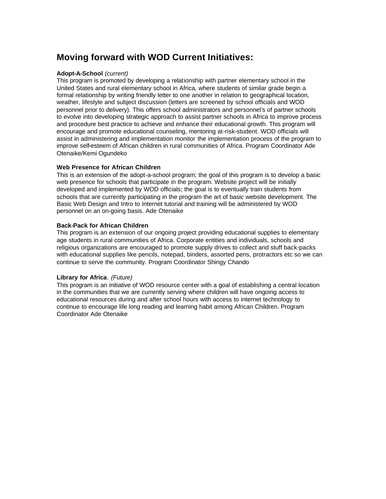## **Moving forward with WOD Current Initiatives:**

#### **Adopt-A-School** *(current)*

This program is promoted by developing a relationship with partner elementary school in the United States and rural elementary school in Africa, where students of similar grade begin a formal relationship by writing friendly letter to one another in relation to geographical location, weather, lifestyle and subject discussion (letters are screened by school officials and WOD personnel prior to delivery). This offers school administrators and personnel's of partner schools to evolve into developing strategic approach to assist partner schools in Africa to improve process and procedure best practice to achieve and enhance their educational growth. This program will encourage and promote educational counseling, mentoring at-risk-student. WOD officials will assist in administering and implementation monitor the implementation process of the program to improve self-esteem of African children in rural communities of Africa. Program Coordinator Ade Otenaike/Kemi Ogundeko

#### **Web Presence for African Children**

This is an extension of the adopt-a-school program; the goal of this program is to develop a basic web presence for schools that participate in the program. Website project will be initially developed and implemented by WOD officials; the goal is to eventually train students from schools that are currently participating in the program the art of basic website development. The Basic Web Design and Intro to Internet tutorial and training will be administered by WOD personnel on an on-going basis. Ade Otenaike

#### **Back-Pack for African Children**

This program is an extension of our ongoing project providing educational supplies to elementary age students in rural communities of Africa. Corporate entities and individuals, schools and religious organizations are encouraged to promote supply drives to collect and stuff back-packs with educational supplies like pencils, notepad, binders, assorted pens, protractors etc so we can continue to serve the community. Program Coordinator Shingy Chando

#### **Library for Africa**. *(Future)*

This program is an initiative of WOD resource center with a goal of establishing a central location in the communities that we are currently serving where children will have ongoing access to educational resources during and after school hours with access to internet technology to continue to encourage life long reading and learning habit among African Children. Program Coordinator Ade Otenaike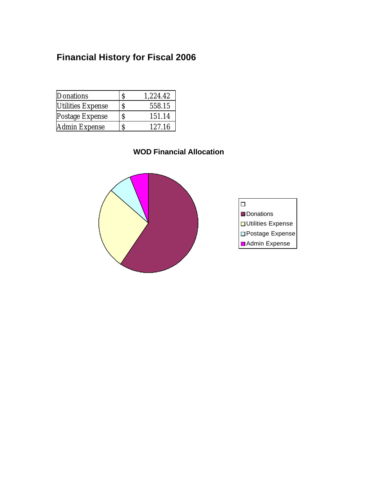## **Financial History for Fiscal 2006**

| Donations                |   | 1,224.42 |
|--------------------------|---|----------|
| <b>Utilities Expense</b> | Ŝ | 558.15   |
| Postage Expense          | S | 151.14   |
| Admin Expense            |   | 127.16   |

## **WOD Financial Allocation**



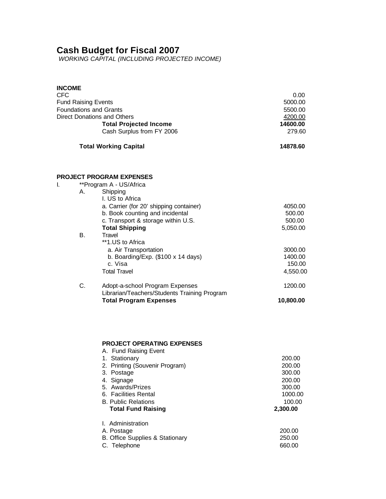## **Cash Budget for Fiscal 2007**

*WORKING CAPITAL (INCLUDING PROJECTED INCOME)*

| <b>INCOME</b><br>CFC<br><b>Fund Raising Events</b>                  | 0.00<br>5000.00<br>5500.00<br>4200.00<br>14600.00<br>279.60                                                                                                                                                                                      |                                                                                 |
|---------------------------------------------------------------------|--------------------------------------------------------------------------------------------------------------------------------------------------------------------------------------------------------------------------------------------------|---------------------------------------------------------------------------------|
| <b>Foundations and Grants</b><br><b>Direct Donations and Others</b> |                                                                                                                                                                                                                                                  |                                                                                 |
|                                                                     | <b>Total Working Capital</b>                                                                                                                                                                                                                     | 14878.60                                                                        |
|                                                                     | PROJECT PROGRAM EXPENSES                                                                                                                                                                                                                         |                                                                                 |
| I.<br>А.                                                            | **Program A - US/Africa<br>Shipping<br>I. US to Africa                                                                                                                                                                                           |                                                                                 |
|                                                                     | a. Carrier (for 20' shipping container)<br>b. Book counting and incidental<br>c. Transport & storage within U.S.<br><b>Total Shipping</b>                                                                                                        | 4050.00<br>500.00<br>500.00<br>5,050.00                                         |
| <b>B.</b>                                                           | Travel<br>**1.US to Africa<br>a. Air Transportation<br>b. Boarding/Exp. $(\$100 \times 14$ days)<br>c. Visa<br><b>Total Travel</b>                                                                                                               | 3000.00<br>1400.00<br>150.00<br>4,550.00                                        |
| C.                                                                  | Adopt-a-school Program Expenses<br>Librarian/Teachers/Students Training Program<br><b>Total Program Expenses</b>                                                                                                                                 | 1200.00<br>10,800.00                                                            |
|                                                                     |                                                                                                                                                                                                                                                  |                                                                                 |
|                                                                     | <b>PROJECT OPERATING EXPENSES</b><br>A. Fund Raising Event<br>1. Stationary<br>2. Printing (Souvenir Program)<br>3. Postage<br>4. Signage<br>5. Awards/Prizes<br>6. Facilities Rental<br><b>B. Public Relations</b><br><b>Total Fund Raising</b> | 200.00<br>200.00<br>300.00<br>200.00<br>300.00<br>1000.00<br>100.00<br>2,300.00 |
|                                                                     | I. Administration<br>A. Postage<br>B. Office Supplies & Stationary<br>C. Telephone                                                                                                                                                               | 200.00<br>250.00<br>660.00                                                      |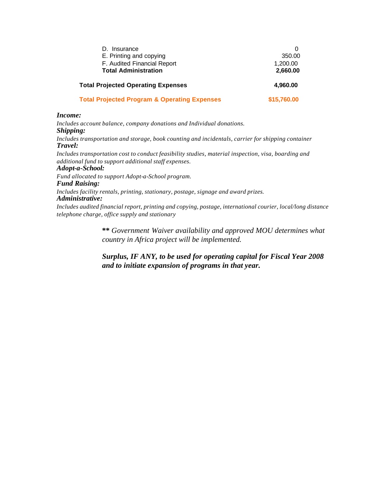| D. Insurance                                            |             |
|---------------------------------------------------------|-------------|
| E. Printing and copying                                 | 350.00      |
| F. Audited Financial Report                             | 1,200.00    |
| <b>Total Administration</b>                             | 2,660.00    |
| <b>Total Projected Operating Expenses</b>               | 4,960.00    |
| <b>Total Projected Program &amp; Operating Expenses</b> | \$15,760.00 |

#### *Income:*

*Includes account balance, company donations and Individual donations. Shipping: Includes transportation and storage, book counting and incidentals, carrier for shipping container Travel:*

*Includes transportation cost to conduct feasibility studies, material inspection, visa, boarding and additional fund to support additional staff expenses.*

#### *Adopt-a-School:*

*Fund allocated to support Adopt-a-School program. Fund Raising:*

*Includes facility rentals, printing, stationary, postage, signage and award prizes. Administrative:*

*Includes audited financial report, printing and copying, postage, international courier, local/long distance telephone charge, office supply and stationary*

> **\*\*** *Government Waiver availability and approved MOU determines what country in Africa project will be implemented.*

> *Surplus, IF ANY, to be used for operating capital for Fiscal Year 2008 and to initiate expansion of programs in that year.*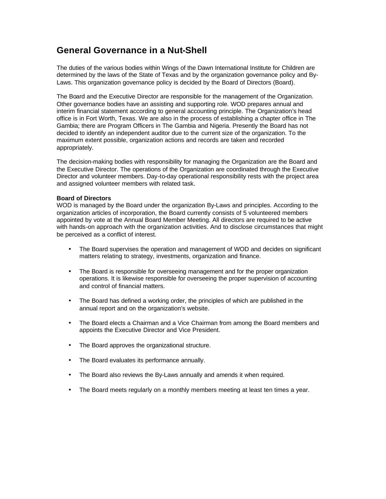## **General Governance in a Nut-Shell**

The duties of the various bodies within Wings of the Dawn International Institute for Children are determined by the laws of the State of Texas and by the organization governance policy and By-Laws. This organization governance policy is decided by the Board of Directors (Board).

The Board and the Executive Director are responsible for the management of the Organization. Other governance bodies have an assisting and supporting role. WOD prepares annual and interim financial statement according to general accounting principle. The Organization's head office is in Fort Worth, Texas. We are also in the process of establishing a chapter office in The Gambia; there are Program Officers in The Gambia and Nigeria. Presently the Board has not decided to identify an independent auditor due to the current size of the organization. To the maximum extent possible, organization actions and records are taken and recorded appropriately.

The decision-making bodies with responsibility for managing the Organization are the Board and the Executive Director. The operations of the Organization are coordinated through the Executive Director and volunteer members. Day-to-day operational responsibility rests with the project area and assigned volunteer members with related task.

#### **Board of Directors**

WOD is managed by the Board under the organization By-Laws and principles. According to the organization articles of incorporation, the Board currently consists of 5 volunteered members appointed by vote at the Annual Board Member Meeting. All directors are required to be active with hands-on approach with the organization activities. And to disclose circumstances that might be perceived as a conflict of interest.

- The Board supervises the operation and management of WOD and decides on significant matters relating to strategy, investments, organization and finance.
- The Board is responsible for overseeing management and for the proper organization operations. It is likewise responsible for overseeing the proper supervision of accounting and control of financial matters.
- The Board has defined a working order, the principles of which are published in the annual report and on the organization's website.
- The Board elects a Chairman and a Vice Chairman from among the Board members and appoints the Executive Director and Vice President.
- The Board approves the organizational structure.
- The Board evaluates its performance annually.
- The Board also reviews the By-Laws annually and amends it when required.
- The Board meets regularly on a monthly members meeting at least ten times a year.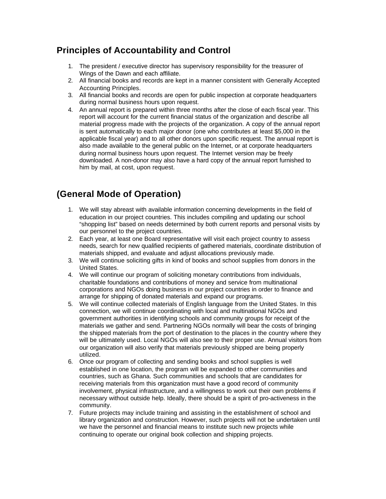## **Principles of Accountability and Control**

- 1. The president / executive director has supervisory responsibility for the treasurer of Wings of the Dawn and each affiliate.
- 2. All financial books and records are kept in a manner consistent with Generally Accepted Accounting Principles.
- 3. All financial books and records are open for public inspection at corporate headquarters during normal business hours upon request.
- 4. An annual report is prepared within three months after the close of each fiscal year. This report will account for the current financial status of the organization and describe all material progress made with the projects of the organization. A copy of the annual report is sent automatically to each major donor (one who contributes at least \$5,000 in the applicable fiscal year) and to all other donors upon specific request. The annual report is also made available to the general public on the Internet, or at corporate headquarters during normal business hours upon request. The Internet version may be freely downloaded. A non-donor may also have a hard copy of the annual report furnished to him by mail, at cost, upon request.

## **(General Mode of Operation)**

- 1. We will stay abreast with available information concerning developments in the field of education in our project countries. This includes compiling and updating our school "shopping list" based on needs determined by both current reports and personal visits by our personnel to the project countries.
- 2. Each year, at least one Board representative will visit each project country to assess needs, search for new qualified recipients of gathered materials, coordinate distribution of materials shipped, and evaluate and adjust allocations previously made.
- 3. We will continue soliciting gifts in kind of books and school supplies from donors in the United States.
- 4. We will continue our program of soliciting monetary contributions from individuals, charitable foundations and contributions of money and service from multinational corporations and NGOs doing business in our project countries in order to finance and arrange for shipping of donated materials and expand our programs.
- 5. We will continue collected materials of English language from the United States. In this connection, we will continue coordinating with local and multinational NGOs and government authorities in identifying schools and community groups for receipt of the materials we gather and send. Partnering NGOs normally will bear the costs of bringing the shipped materials from the port of destination to the places in the country where they will be ultimately used. Local NGOs will also see to their proper use. Annual visitors from our organization will also verify that materials previously shipped are being properly utilized.
- 6. Once our program of collecting and sending books and school supplies is well established in one location, the program will be expanded to other communities and countries, such as Ghana. Such communities and schools that are candidates for receiving materials from this organization must have a good record of community involvement, physical infrastructure, and a willingness to work out their own problems if necessary without outside help. Ideally, there should be a spirit of pro-activeness in the community.
- 7. Future projects may include training and assisting in the establishment of school and library organization and construction. However, such projects will not be undertaken until we have the personnel and financial means to institute such new projects while continuing to operate our original book collection and shipping projects.